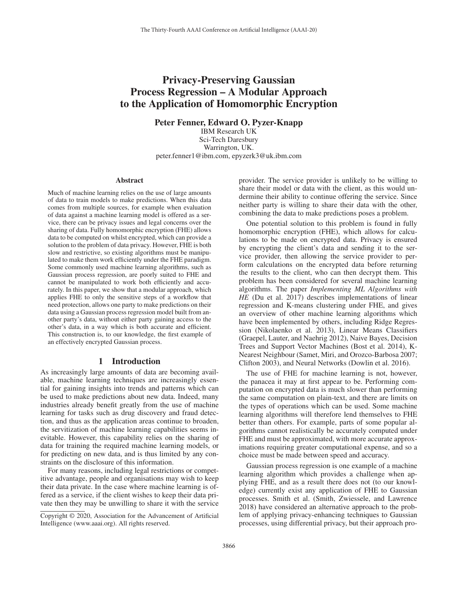# Privacy-Preserving Gaussian Process Regression – A Modular Approach to the Application of Homomorphic Encryption

Peter Fenner, Edward O. Pyzer-Knapp

IBM Research UK Sci-Tech Daresbury Warrington, UK. peter.fenner1@ibm.com, epyzerk3@uk.ibm.com

#### Abstract

Much of machine learning relies on the use of large amounts of data to train models to make predictions. When this data comes from multiple sources, for example when evaluation of data against a machine learning model is offered as a service, there can be privacy issues and legal concerns over the sharing of data. Fully homomorphic encryption (FHE) allows data to be computed on whilst encrypted, which can provide a solution to the problem of data privacy. However, FHE is both slow and restrictive, so existing algorithms must be manipulated to make them work efficiently under the FHE paradigm. Some commonly used machine learning algorithms, such as Gaussian process regression, are poorly suited to FHE and cannot be manipulated to work both efficiently and accurately. In this paper, we show that a modular approach, which applies FHE to only the sensitive steps of a workflow that need protection, allows one party to make predictions on their data using a Gaussian process regression model built from another party's data, without either party gaining access to the other's data, in a way which is both accurate and efficient. This construction is, to our knowledge, the first example of an effectively encrypted Gaussian process.

## 1 Introduction

As increasingly large amounts of data are becoming available, machine learning techniques are increasingly essential for gaining insights into trends and patterns which can be used to make predictions about new data. Indeed, many industries already benefit greatly from the use of machine learning for tasks such as drug discovery and fraud detection, and thus as the application areas continue to broaden, the servitization of machine learning capabilities seems inevitable. However, this capability relies on the sharing of data for training the required machine learning models, or for predicting on new data, and is thus limited by any constraints on the disclosure of this information.

For many reasons, including legal restrictions or competitive advantage, people and organisations may wish to keep their data private. In the case where machine learning is offered as a service, if the client wishes to keep their data private then they may be unwilling to share it with the service

provider. The service provider is unlikely to be willing to share their model or data with the client, as this would undermine their ability to continue offering the service. Since neither party is willing to share their data with the other, combining the data to make predictions poses a problem.

One potential solution to this problem is found in fully homomorphic encryption (FHE), which allows for calculations to be made on encrypted data. Privacy is ensured by encrypting the client's data and sending it to the service provider, then allowing the service provider to perform calculations on the encrypted data before returning the results to the client, who can then decrypt them. This problem has been considered for several machine learning algorithms. The paper *Implementing ML Algorithms with HE* (Du et al. 2017) describes implementations of linear regression and K-means clustering under FHE, and gives an overview of other machine learning algorithms which have been implemented by others, including Ridge Regression (Nikolaenko et al. 2013), Linear Means Classifiers (Graepel, Lauter, and Naehrig 2012), Naive Bayes, Decision Trees and Support Vector Machines (Bost et al. 2014), K-Nearest Neighbour (Samet, Miri, and Orozco-Barbosa 2007; Clifton 2003), and Neural Networks (Dowlin et al. 2016).

The use of FHE for machine learning is not, however, the panacea it may at first appear to be. Performing computation on encrypted data is much slower than performing the same computation on plain-text, and there are limits on the types of operations which can be used. Some machine learning algorithms will therefore lend themselves to FHE better than others. For example, parts of some popular algorithms cannot realistically be accurately computed under FHE and must be approximated, with more accurate approximations requiring greater computational expense, and so a choice must be made between speed and accuracy.

Gaussian process regression is one example of a machine learning algorithm which provides a challenge when applying FHE, and as a result there does not (to our knowledge) currently exist any application of FHE to Gaussian processes. Smith et al. (Smith, Zwiessele, and Lawrence 2018) have considered an alternative approach to the problem of applying privacy-enhancing techniques to Gaussian processes, using differential privacy, but their approach pro-

Copyright © 2020, Association for the Advancement of Artificial Intelligence (www.aaai.org). All rights reserved.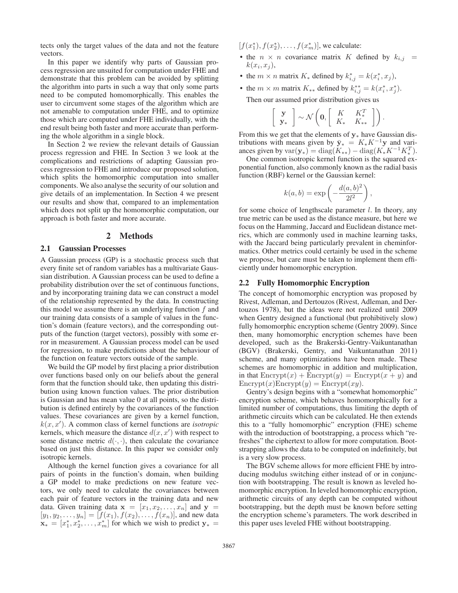tects only the target values of the data and not the feature vectors.

In this paper we identify why parts of Gaussian process regression are unsuited for computation under FHE and demonstrate that this problem can be avoided by splitting the algorithm into parts in such a way that only some parts need to be computed homomorphically. This enables the user to circumvent some stages of the algorithm which are not amenable to computation under FHE, and to optimize those which are computed under FHE individually, with the end result being both faster and more accurate than performing the whole algorithm in a single block.

In Section 2 we review the relevant details of Gaussian process regression and FHE. In Section 3 we look at the complications and restrictions of adapting Gaussian process regression to FHE and introduce our proposed solution, which splits the homomorphic computation into smaller components. We also analyse the security of our solution and give details of an implementation. In Section 4 we present our results and show that, compared to an implementation which does not split up the homomorphic computation, our approach is both faster and more accurate.

# 2 Methods

### 2.1 Gaussian Processes

A Gaussian process (GP) is a stochastic process such that every finite set of random variables has a multivariate Gaussian distribution. A Gaussian process can be used to define a probability distribution over the set of continuous functions, and by incorporating training data we can construct a model of the relationship represented by the data. In constructing this model we assume there is an underlying function  $f$  and our training data consists of a sample of values in the function's domain (feature vectors), and the corresponding outputs of the function (target vectors), possibly with some error in measurement. A Gaussian process model can be used for regression, to make predictions about the behaviour of the function on feature vectors outside of the sample.

We build the GP model by first placing a prior distribution over functions based only on our beliefs about the general form that the function should take, then updating this distribution using known function values. The prior distribution is Gaussian and has mean value 0 at all points, so the distribution is defined entirely by the covariances of the function values. These covariances are given by a kernel function,  $k(x, x')$ . A common class of kernel functions are *isotropic* kernels, which measure the distance  $d(x, x')$  with respect to some distance metric  $d(\cdot, \cdot)$ , then calculate the covariance based on just this distance. In this paper we consider only isotropic kernels.

Although the kernel function gives a covariance for all pairs of points in the function's domain, when building a GP model to make predictions on new feature vectors, we only need to calculate the covariances between each pair of feature vectors in the training data and new data. Given training data  $\mathbf{x} = [x_1, x_2, \dots, x_n]$  and  $\mathbf{y} =$  $[y_1, y_2, \dots, y_n] = [f(x_1), f(x_2), \dots, f(x_n)],$  and new data  $\mathbf{x}_* = [x_1^*, x_2^*, \dots, x_m^*]$  for which we wish to predict  $\mathbf{y}_* =$ 

 $[f(x_1^*), f(x_2^*), \ldots, f(x_m^*)]$ , we calculate:

- the  $n \times n$  covariance matrix K defined by  $k_{i,j}$  =  $k(x_i, x_j)$ ,
- the  $m \times n$  matrix  $K_*$  defined by  $k^*_{i,j} = k(x^*_i, x_j)$ ,
- the  $m \times m$  matrix  $K_{**}$  defined by  $k_{i,j}^{**} = k(x_i^*, x_j^*)$ . Then our assumed prior distribution gives us

$$
\left[\begin{array}{c} \mathbf{y} \\ \mathbf{y}_* \end{array}\right] \sim \mathcal{N}\left(\mathbf{0}, \left[\begin{array}{cc} K & K_*^T \\ K_* & K_{**} \end{array}\right]\right).
$$

From this we get that the elements of **y**<sup>∗</sup> have Gaussian distributions with means given by  $\bar{y}_* = K_* K^{-1}y$  and variances given by  $var(\mathbf{y}_*) = diag(K_{**}) - diag(K_{*}K^{-1}K_{*}^T).$ 

One common isotropic kernel function is the squared exponential function, also commonly known as the radial basis function (RBF) kernel or the Gaussian kernel:

$$
k(a,b) = \exp\left(-\frac{d(a,b)^2}{2l^2}\right),\,
$$

for some choice of lengthscale parameter  $l$ . In theory, any true metric can be used as the distance measure, but here we focus on the Hamming, Jaccard and Euclidean distance metrics, which are commonly used in machine learning tasks, with the Jaccard being particularly prevalent in cheminformatics. Other metrics could certainly be used in the scheme we propose, but care must be taken to implement them efficiently under homomorphic encryption.

#### 2.2 Fully Homomorphic Encryption

The concept of homomorphic encryption was proposed by Rivest, Adleman, and Dertouzos (Rivest, Adleman, and Dertouzos 1978), but the ideas were not realized until 2009 when Gentry designed a functional (but prohibitively slow) fully homomorphic encryption scheme (Gentry 2009). Since then, many homomorphic encryption schemes have been developed, such as the Brakerski-Gentry-Vaikuntanathan (BGV) (Brakerski, Gentry, and Vaikuntanathan 2011) scheme, and many optimizations have been made. These schemes are homomorphic in addition and multiplication, in that  $\text{Encrypt}(x) + \text{Encrypt}(y) = \text{Encrypt}(x + y)$  and  $\text{Energy}(x) \text{Energy}(y) = \text{Energy}(xy).$ 

Gentry's design begins with a "somewhat homomorphic" encryption scheme, which behaves homomorphically for a limited number of computations, thus limiting the depth of arithmetic circuits which can be calculated. He then extends this to a "fully homomorphic" encryption (FHE) scheme with the introduction of bootstrapping, a process which "refreshes" the ciphertext to allow for more computation. Bootstrapping allows the data to be computed on indefinitely, but is a very slow process.

The BGV scheme allows for more efficient FHE by introducing modulus switching either instead of or in conjunction with bootstrapping. The result is known as leveled homomorphic encryption. In leveled homomorphic encryption, arithmetic circuits of any depth can be computed without bootstrapping, but the depth must be known before setting the encryption scheme's parameters. The work described in this paper uses leveled FHE without bootstrapping.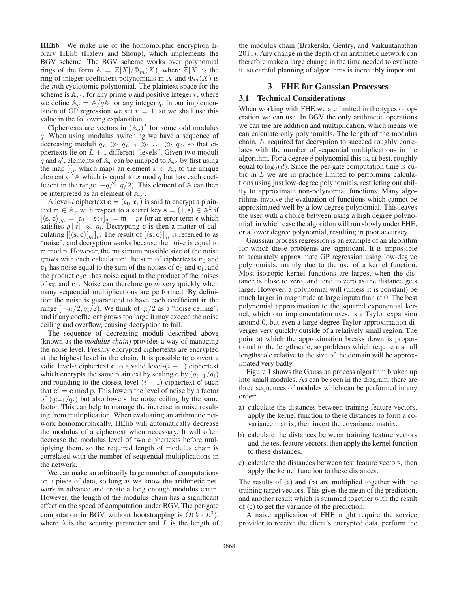HElib We make use of the homomorphic encryption library HElib (Halevi and Shoup), which implements the BGV scheme. The BGV scheme works over polynomial rings of the form  $A = \mathbb{Z}[X]/\Phi_m(X)$ , where  $\mathbb{Z}[X]$  is the ring of integer-coefficient polynomials in X and  $\Phi_m(X)$  is the mth cyclotomic polynomial. The plaintext space for the scheme is  $A_{p^r}$ , for any prime p and positive integer r, where we define  $\mathbb{A}_q = \mathbb{A}/q\mathbb{A}$  for any integer q. In our implementation of GP regression we set  $r = 1$ , so we shall use this value in the following explanation.

Ciphertexts are vectors in  $(A_q)^2$  for some odd modulus q. When using modulus switching we have a sequence of decreasing moduli  $q_L \gg q_{L-1} \gg \ldots \gg q_0$ , so that ciphertexts lie on  $L + 1$  different "levels". Given two moduli q and q', elements of  $\mathbb{A}_q$  can be mapped to  $\mathbb{A}_{q'}$  by first using the map  $[\cdot]_q$  which maps an element  $x \in \mathbb{A}_q$  to the unique element of  $A$  which is equal to x mod q but has each coefficient in the range  $[-q/2, q/2)$ . This element of A can then be interpreted as an element of  $\mathbb{A}_{q'}$ .

A level-*i* ciphertext **c** =  $(c_0, c_1)$  is said to encrypt a plaintext  $\mathfrak{m} \in \mathbb{A}_p$  with respect to a secret key  $\mathbf{s} = (1, \mathbf{s}) \in \mathbb{A}^2$  if  $[\langle \mathbf{s}, \mathbf{c} \rangle]_{q_i} = [\mathfrak{c}_0 + \mathfrak{s} \mathfrak{c}_1]_{q_i} = \mathfrak{m} + p\mathfrak{e}$  for an error term  $\mathfrak{e}$  which satisfies  $p ||\mathbf{e}|| \ll q_i$ . Decrypting **c** is then a matter of calculating  $[[\langle \mathbf{s}, \mathbf{c} \rangle]_{q_i}]_p$ . The result of  $[\langle \mathbf{s}, \mathbf{c} \rangle]_{q_i}$  is referred to as "noise", and decryption works because the noise is equal to m mod p. However, the maximum possible size of the noise grows with each calculation: the sum of ciphertexts  $\mathbf{c}_0$  and  $c_1$  has noise equal to the sum of the noises of  $c_0$  and  $c_1$ , and the product  $\mathbf{c}_0 \mathbf{c}_1$  has noise equal to the product of the noises of **<sup>c</sup>**0 and **<sup>c</sup>**1. Noise can therefore grow very quickly when many sequential multiplications are performed. By definition the noise is guaranteed to have each coefficient in the range  $[-q_i/2, q_i/2)$ . We think of  $q_i/2$  as a "noise ceiling", and if any coefficient grows too large it may exceed the noise ceiling and overflow, causing decryption to fail.

The sequence of decreasing moduli described above (known as the *modulus chain*) provides a way of managing the noise level. Freshly encrypted ciphertexts are encrypted at the highest level in the chain. It is possible to convert a valid level-i ciphertext **c** to a valid level- $(i - 1)$  ciphertext which encrypts the same plaintext by scaling **c** by  $(q_{i-1}/q_i)$ and rounding to the closest level- $(i - 1)$  ciphertext **c**<sup> $\prime$ </sup> such that  $c' = c$  mod p. This lowers the level of noise by a factor of  $(q_{i-1}/q_i)$  but also lowers the noise ceiling by the same factor. This can help to manage the increase in noise resulting from multiplication. When evaluating an arithmetic network homomorphically, HElib will automatically decrease the modulus of a ciphertext when necessary. It will often decrease the modulus level of two ciphertexts before multiplying them, so the required length of modulus chain is correlated with the number of sequential multiplications in the network.

We can make an arbitrarily large number of computations on a piece of data, so long as we know the arithmetic network in advance and create a long enough modulus chain. However, the length of the modulus chain has a significant effect on the speed of computation under BGV. The per-gate computation in BGV without bootstrapping is  $\hat{O}(\lambda \cdot L^3)$ , where  $\lambda$  is the security parameter and L is the length of

the modulus chain (Brakerski, Gentry, and Vaikuntanathan 2011). Any change in the depth of an arithmetic network can therefore make a large change in the time needed to evaluate it, so careful planning of algorithms is incredibly important.

# 3 FHE for Gaussian Processes

# 3.1 Technical Considerations

When working with FHE we are limited in the types of operation we can use. In BGV the only arithmetic operations we can use are addition and multiplication, which means we can calculate only polynomials. The length of the modulus chain, L, required for decryption to succeed roughly correlates with the number of sequential multiplications in the algorithm. For a degree  $d$  polynomial this is, at best, roughly equal to  $log_2(d)$ . Since the per-gate computation time is cu-<br>bic in L we are in practice limited to performing calculabic in L we are in practice limited to performing calculations using just low-degree polynomials, restricting our ability to approximate non-polynomial functions. Many algorithms involve the evaluation of functions which cannot be approximated well by a low degree polynomial. This leaves the user with a choice between using a high degree polynomial, in which case the algorithm will run slowly under FHE, or a lower degree polynomial, resulting in poor accuracy.

Gaussian process regression is an example of an algorithm for which these problems are significant. It is impossible to accurately approximate GP regression using low-degree polynomials, mainly due to the use of a kernel function. Most isotropic kernel functions are largest when the distance is close to zero, and tend to zero as the distance gets large. However, a polynomial will (unless it is constant) be much larger in magnitude at large inputs than at 0. The best polynomial approximation to the squared exponential kernel, which our implementation uses, is a Taylor expansion around 0, but even a large degree Taylor approximation diverges very quickly outside of a relatively small region. The point at which the approximation breaks down is proportional to the lengthscale, so problems which require a small lengthscale relative to the size of the domain will be approximated very badly.

Figure 1 shows the Gaussian process algorithm broken up into small modules. As can be seen in the diagram, there are three sequences of modules which can be performed in any order:

- a) calculate the distances between training feature vectors, apply the kernel function to these distances to form a covariance matrix, then invert the covariance matrix,
- b) calculate the distances between training feature vectors and the test feature vectors, then apply the kernel function to these distances,
- c) calculate the distances between test feature vectors, then apply the kernel function to these distances.

The results of (a) and (b) are multiplied together with the training target vectors. This gives the mean of the prediction, and another result which is summed together with the result of (c) to get the variance of the prediction.

A naive application of FHE might require the service provider to receive the client's encrypted data, perform the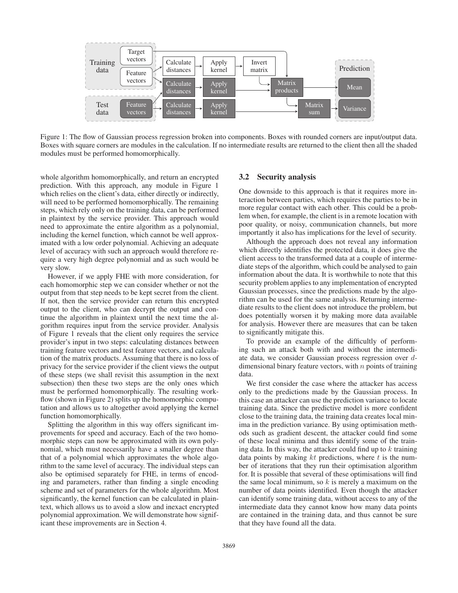

Figure 1: The flow of Gaussian process regression broken into components. Boxes with rounded corners are input/output data. Boxes with square corners are modules in the calculation. If no intermediate results are returned to the client then all the shaded modules must be performed homomorphically.

whole algorithm homomorphically, and return an encrypted prediction. With this approach, any module in Figure 1 which relies on the client's data, either directly or indirectly, will need to be performed homomorphically. The remaining steps, which rely only on the training data, can be performed in plaintext by the service provider. This approach would need to approximate the entire algorithm as a polynomial, including the kernel function, which cannot be well approximated with a low order polynomial. Achieving an adequate level of accuracy with such an approach would therefore require a very high degree polynomial and as such would be very slow.

However, if we apply FHE with more consideration, for each homomorphic step we can consider whether or not the output from that step needs to be kept secret from the client. If not, then the service provider can return this encrypted output to the client, who can decrypt the output and continue the algorithm in plaintext until the next time the algorithm requires input from the service provider. Analysis of Figure 1 reveals that the client only requires the service provider's input in two steps: calculating distances between training feature vectors and test feature vectors, and calculation of the matrix products. Assuming that there is no loss of privacy for the service provider if the client views the output of these steps (we shall revisit this assumption in the next subsection) then these two steps are the only ones which must be performed homomorphically. The resulting workflow (shown in Figure 2) splits up the homomorphic computation and allows us to altogether avoid applying the kernel function homomorphically.

Splitting the algorithm in this way offers significant improvements for speed and accuracy. Each of the two homomorphic steps can now be approximated with its own polynomial, which must necessarily have a smaller degree than that of a polynomial which approximates the whole algorithm to the same level of accuracy. The individual steps can also be optimised separately for FHE, in terms of encoding and parameters, rather than finding a single encoding scheme and set of parameters for the whole algorithm. Most significantly, the kernel function can be calculated in plaintext, which allows us to avoid a slow and inexact encrypted polynomial approximation. We will demonstrate how significant these improvements are in Section 4.

# 3.2 Security analysis

One downside to this approach is that it requires more interaction between parties, which requires the parties to be in more regular contact with each other. This could be a problem when, for example, the client is in a remote location with poor quality, or noisy, communication channels, but more importantly it also has implications for the level of security.

Although the approach does not reveal any information which directly identifies the protected data, it does give the client access to the transformed data at a couple of intermediate steps of the algorithm, which could be analysed to gain information about the data. It is worthwhile to note that this security problem applies to any implementation of encrypted Gaussian processes, since the predictions made by the algorithm can be used for the same analysis. Returning intermediate results to the client does not introduce the problem, but does potentially worsen it by making more data available for analysis. However there are measures that can be taken to significantly mitigate this.

To provide an example of the difficultly of performing such an attack both with and without the intermediate data, we consider Gaussian process regression over ddimensional binary feature vectors, with  $n$  points of training data.

We first consider the case where the attacker has access only to the predictions made by the Gaussian process. In this case an attacker can use the prediction variance to locate training data. Since the predictive model is more confident close to the training data, the training data creates local minima in the prediction variance. By using optimisation methods such as gradient descent, the attacker could find some of these local minima and thus identify some of the training data. In this way, the attacker could find up to  $k$  training data points by making  $kt$  predictions, where  $t$  is the number of iterations that they run their optimisation algorithm for. It is possible that several of these optimisations will find the same local minimum, so  $k$  is merely a maximum on the number of data points identified. Even though the attacker can identify some training data, without access to any of the intermediate data they cannot know how many data points are contained in the training data, and thus cannot be sure that they have found all the data.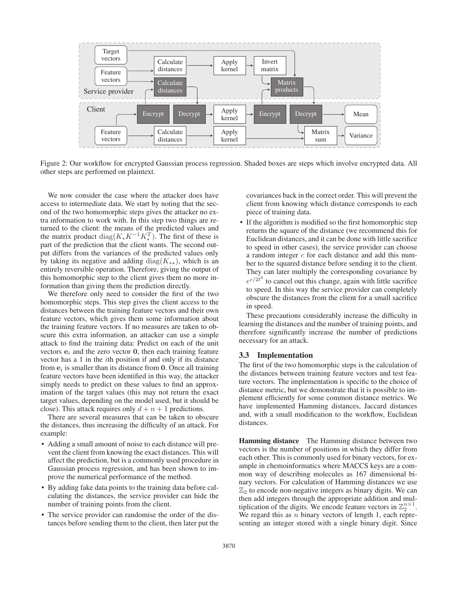

Figure 2: Our workflow for encrypted Gaussian process regression. Shaded boxes are steps which involve encrypted data. All other steps are performed on plaintext.

We now consider the case where the attacker does have access to intermediate data. We start by noting that the second of the two homomorphic steps gives the attacker no extra information to work with. In this step two things are returned to the client: the means of the predicted values and the matrix product diag( $K_* K^{-1} K_*^T$ ). The first of these is part of the prediction that the client wants. The second output differs from the variances of the predicted values only by taking its negative and adding diag( $K_{**}$ ), which is an entirely reversible operation. Therefore, giving the output of this homomorphic step to the client gives them no more information than giving them the prediction directly.

We therefore only need to consider the first of the two homomorphic steps. This step gives the client access to the distances between the training feature vectors and their own feature vectors, which gives them some information about the training feature vectors. If no measures are taken to obscure this extra information, an attacker can use a simple attack to find the training data: Predict on each of the unit vectors  $e_i$  and the zero vector  $\theta$ , then each training feature vector has a 1 in the ith position if and only if its distance from **e**<sup>i</sup> is smaller than its distance from **0**. Once all training feature vectors have been identified in this way, the attacker simply needs to predict on these values to find an approximation of the target values (this may not return the exact target values, depending on the model used, but it should be close). This attack requires only  $d + n + 1$  predictions.

There are several measures that can be taken to obscure the distances, thus increasing the difficulty of an attack. For example:

- Adding a small amount of noise to each distance will prevent the client from knowing the exact distances. This will affect the prediction, but is a commonly used procedure in Gaussian process regression, and has been shown to improve the numerical performance of the method.
- By adding fake data points to the training data before calculating the distances, the service provider can hide the number of training points from the client.
- The service provider can randomise the order of the distances before sending them to the client, then later put the

covariances back in the correct order. This will prevent the client from knowing which distance corresponds to each piece of training data.

• If the algorithm is modified so the first homomorphic step returns the square of the distance (we recommend this for Euclidean distances, and it can be done with little sacrifice to speed in other cases), the service provider can choose a random integer  $c$  for each distance and add this number to the squared distance before sending it to the client. They can later multiply the corresponding covariance by  $e^{c/2l^2}$  to cancel out this change, again with little sacrifice to speed. In this way the service provider can completely obscure the distances from the client for a small sacrifice in speed.

These precautions considerably increase the difficulty in learning the distances and the number of training points, and therefore significantly increase the number of predictions necessary for an attack.

#### 3.3 Implementation

The first of the two homomorphic steps is the calculation of the distances between training feature vectors and test feature vectors. The implementation is specific to the choice of distance metric, but we demonstrate that it is possible to implement efficiently for some common distance metrics. We have implemented Hamming distances, Jaccard distances and, with a small modification to the workflow, Euclidean distances.

Hamming distance The Hamming distance between two vectors is the number of positions in which they differ from each other. This is commonly used for binary vectors, for example in chemoinformatics where MACCS keys are a common way of describing molecules as 167 dimensional binary vectors. For calculation of Hamming distances we use  $\mathbb{Z}_2$  to encode non-negative integers as binary digits. We can<br>then add integers through the appropriate addition and mul then add integers through the appropriate addition and multiplication of the digits. We encode feature vectors in  $\mathbb{Z}_2^{n \times 1}$ .<br>We regard this as n binary vectors of length 1, each repre-We regard this as  $n$  binary vectors of length 1, each representing an integer stored with a single binary digit. Since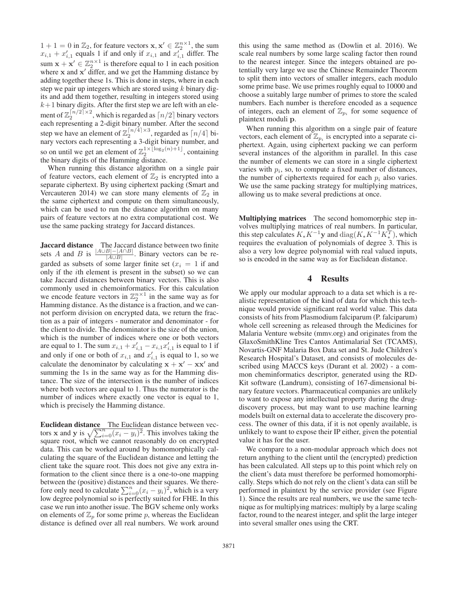$1+1=0$  in  $\mathbb{Z}_2$ , for feature vectors  $\mathbf{x}, \mathbf{x}' \in \mathbb{Z}_2^{n \times 1}$ , the sum  $x \mapsto x'$ , equals 1 if and only if  $x \mapsto$  and  $x'$ , differ The  $x_{i,1} + x'_{i,1}$  equals 1 if and only if  $x_{i,1}$  and  $x'_{i,1}$  differ. The sum  $\mathbf{x} + \mathbf{x}' \in \mathbb{Z}_2^{n \times 1}$  is therefore equal to 1 in each position<br>where **x** and **x**<sup>*l*</sup> differ and we get the Hamming distance by where  $x$  and  $x'$  differ, and we get the Hamming distance by adding together these 1s. This is done in steps, where in each step we pair up integers which are stored using  $k$  binary digits and add them together, resulting in integers stored using  $k+1$  binary digits. After the first step we are left with an element of  $\mathbb{Z}_2^{\lfloor n/2 \rfloor \times 2}$ , which is regarded as  $\lfloor n/2 \rfloor$  binary vectors each representing a 2-digit binary number. After the second each representing a 2-digit binary number. After the second step we have an element of  $\mathbb{Z}_2^{n/4} \times 3$ , regarded as  $\lceil n/4 \rceil$  bi-<br>nary vectors each representing a 3-digit binary number, and nary vectors each representing a 3-digit binary number, and so on until we get an element of  $\mathbb{Z}_2^{1\times \lfloor \log_2(n)+1 \rfloor}$ , containing the binary digits of the Hamming distance the binary digits of the Hamming distance.

When running this distance algorithm on a single pair of feature vectors, each element of  $\mathbb{Z}_2$  is encrypted into a separate ciphertext. By using ciphertext packing (Smart and Vercauteren 2014) we can store many elements of  $\mathbb{Z}_2$  in the same ciphertext and compute on them simultaneously, which can be used to run the distance algorithm on many pairs of feature vectors at no extra computational cost. We use the same packing strategy for Jaccard distances.

Jaccard distance The Jaccard distance between two finite sets A and B is  $\frac{|A \cup B| - |A \cap B|}{|A \cup B|}$ . Binary vectors can be regarded as subsets of some larger finite set ( $x_i = 1$  if and only if the ith element is present in the subset) so we can take Jaccard distances between binary vectors. This is also commonly used in chemoinformatics. For this calculation we encode feature vectors in  $\mathbb{Z}_2^{n \times 1}$  in the same way as for<br>Hamming distance. As the distance is a fraction, and we can-Hamming distance. As the distance is a fraction, and we cannot perform division on encrypted data, we return the fraction as a pair of integers - numerator and denominator - for the client to divide. The denominator is the size of the union, which is the number of indices where one or both vectors are equal to 1. The sum  $x_{i,1} + x'_{i,1} - x_{i,1}x'_{i,1}$  is equal to 1 if and only if one or both of  $x_{i,1}$  and  $x'_{i,1}$  is equal to 1, so we calculate the dependence by coloulating  $x + x'$  and  $x'$ calculate the denominator by calculating  $\mathbf{x} + \mathbf{x}' - \mathbf{x}\mathbf{x}'$  and summing the 1s in the same way as for the Hamming distance. The size of the intersection is the number of indices where both vectors are equal to 1. Thus the numerator is the number of indices where exactly one vector is equal to 1, which is precisely the Hamming distance.

Euclidean distance The Euclidean distance between vectors **x** and **y** is  $\sqrt{\sum_{i=0}^{n}(x_i - y_i)^2}$ . This involves taking the square root which we cannot reasonably do on encrypted square root, which we cannot reasonably do on encrypted data. This can be worked around by homomorphically calculating the square of the Euclidean distance and letting the client take the square root. This does not give any extra information to the client since there is a one-to-one mapping between the (positive) distances and their squares. We therefore only need to calculate  $\sum_{i=0}^{n}(x_i - y_i)^2$ , which is a very low degree polynomial so is nerfectly suited for FHE. In this low degree polynomial so is perfectly suited for FHE. In this case we run into another issue. The BGV scheme only works on elements of  $\mathbb{Z}_p$  for some prime p, whereas the Euclidean distance is defined over all real numbers. We work around

this using the same method as (Dowlin et al. 2016). We scale real numbers by some large scaling factor then round to the nearest integer. Since the integers obtained are potentially very large we use the Chinese Remainder Theorem to split them into vectors of smaller integers, each modulo some prime base. We use primes roughly equal to 10000 and choose a suitably large number of primes to store the scaled numbers. Each number is therefore encoded as a sequence of integers, each an element of  $\mathbb{Z}_{p_i}$  for some sequence of plaintext moduli **p**.

When running this algorithm on a single pair of feature vectors, each element of  $\mathbb{Z}_{p_i}$  is encrypted into a separate ciphertext. Again, using ciphertext packing we can perform several instances of the algorithm in parallel. In this case the number of elements we can store in a single ciphertext varies with  $p_i$ , so, to compute a fixed number of distances, the number of ciphertexts required for each  $p_i$  also varies. We use the same packing strategy for multiplying matrices, allowing us to make several predictions at once.

Multiplying matrices The second homomorphic step involves multiplying matrices of real numbers. In particular, this step calculates  $K_{*}K^{-1}\mathbf{y}$  and  $diag(K_{*}K^{-1}K_{*}^{T})$ , which requires the evaluation of polynomials of degree 3. This is also a very low degree polynomial with real valued inputs, so is encoded in the same way as for Euclidean distance.

### 4 Results

We apply our modular approach to a data set which is a realistic representation of the kind of data for which this technique would provide significant real world value. This data consists of hits from Plasmodium falciparum (P. falciparum) whole cell screening as released through the Medicines for Malaria Venture website (mmv.org) and originates from the GlaxoSmithKline Tres Cantos Antimalarial Set (TCAMS), Novartis-GNF Malaria Box Data set and St. Jude Children's Research Hospital's Dataset, and consists of molecules described using MACCS keys (Durant et al. 2002) - a common cheminformatics descriptor, generated using the RD-Kit software (Landrum), consisting of 167-dimensional binary feature vectors. Pharmaceutical companies are unlikely to want to expose any intellectual property during the drugdiscovery process, but may want to use machine learning models built on external data to accelerate the discovery process. The owner of this data, if it is not openly available, is unlikely to want to expose their IP either, given the potential value it has for the user.

We compare to a non-modular approach which does not return anything to the client until the (encrypted) prediction has been calculated. All steps up to this point which rely on the client's data must therefore be performed homomorphically. Steps which do not rely on the client's data can still be performed in plaintext by the service provider (see Figure 1). Since the results are real numbers, we use the same technique as for multiplying matrices: multiply by a large scaling factor, round to the nearest integer, and split the large integer into several smaller ones using the CRT.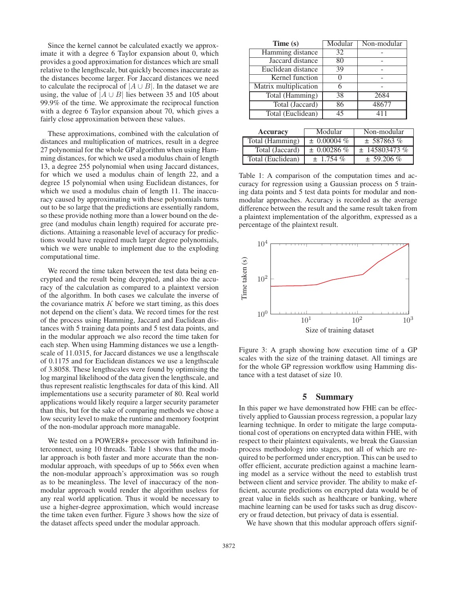Since the kernel cannot be calculated exactly we approximate it with a degree 6 Taylor expansion about 0, which provides a good approximation for distances which are small relative to the lengthscale, but quickly becomes inaccurate as the distances become larger. For Jaccard distances we need to calculate the reciprocal of  $|A \cup B|$ . In the dataset we are using, the value of  $|A \cup B|$  lies between 35 and 105 about 99.9% of the time. We approximate the reciprocal function with a degree 6 Taylor expansion about 70, which gives a fairly close approximation between these values.

These approximations, combined with the calculation of distances and multiplication of matrices, result in a degree 27 polynomial for the whole GP algorithm when using Hamming distances, for which we used a modulus chain of length 13, a degree 255 polynomial when using Jaccard distances, for which we used a modulus chain of length 22, and a degree 15 polynomial when using Euclidean distances, for which we used a modulus chain of length 11. The inaccuracy caused by approximating with these polynomials turns out to be so large that the predictions are essentially random, so these provide nothing more than a lower bound on the degree (and modulus chain length) required for accurate predictions. Attaining a reasonable level of accuracy for predictions would have required much larger degree polynomials, which we were unable to implement due to the exploding computational time.

We record the time taken between the test data being encrypted and the result being decrypted, and also the accuracy of the calculation as compared to a plaintext version of the algorithm. In both cases we calculate the inverse of the covariance matrix  $K$  before we start timing, as this does not depend on the client's data. We record times for the rest of the process using Hamming, Jaccard and Euclidean distances with 5 training data points and 5 test data points, and in the modular approach we also record the time taken for each step. When using Hamming distances we use a lengthscale of 11.0315, for Jaccard distances we use a lengthscale of 0.1175 and for Euclidean distances we use a lengthscale of 3.8058. These lengthscales were found by optimising the log marginal likelihood of the data given the lengthscale, and thus represent realistic lengthscales for data of this kind. All implementations use a security parameter of 80. Real world applications would likely require a larger security parameter than this, but for the sake of comparing methods we chose a low security level to make the runtime and memory footprint of the non-modular approach more managable.

We tested on a POWER8+ processor with Infiniband interconnect, using 10 threads. Table 1 shows that the modular approach is both faster and more accurate than the nonmodular approach, with speedups of up to 566x even when the non-modular approach's approximation was so rough as to be meaningless. The level of inaccuracy of the nonmodular approach would render the algorithm useless for any real world application. Thus it would be necessary to use a higher-degree approximation, which would increase the time taken even further. Figure 3 shows how the size of the dataset affects speed under the modular approach.

| Time (s)                     |  | Modular      | Non-modular |
|------------------------------|--|--------------|-------------|
| Hamming distance             |  | 32           |             |
| Jaccard distance             |  | 80           |             |
| Euclidean distance           |  | 39           |             |
| Kernel function              |  |              |             |
| Matrix multiplication        |  |              |             |
| Total (Hamming)              |  | 38           | 2684        |
| Total (Jaccard)              |  | 86           | 48677       |
| Total (Euclidean)            |  | 45           | 411         |
|                              |  |              |             |
| <b>Accuracy</b>              |  | Modular      | Non-modular |
| Total (Hamming)<br>$\ddot{}$ |  | %<br>0.00004 | ± 587863 %  |

| $\vert$ Total (Euchdeal) $\vert$ $\pm$ 1.79 $\tau$ /0        | $\perp$ 22.200 $\approx$ |
|--------------------------------------------------------------|--------------------------|
|                                                              |                          |
| Table 1: A comparison of the computation times and ac-       |                          |
| curacy for regression using a Gaussian process on 5 train-   |                          |
| ing data points and 5 test data points for modular and non-  |                          |
| modular approaches. Accuracy is recorded as the average      |                          |
| difference between the result and the same result taken from |                          |
| a plaintext implementation of the algorithm, expressed as a  |                          |
| percentage of the plaintext result.                          |                          |

Total (Jaccard)  $\pm 0.00286 \%$   $\pm 14580347$ Total (Euclidean)  $\pm 1.754\%$   $\pm 59.206\%$ 



Figure 3: A graph showing how execution time of a GP scales with the size of the training dataset. All timings are for the whole GP regression workflow using Hamming distance with a test dataset of size 10.

## 5 Summary

In this paper we have demonstrated how FHE can be effectively applied to Gaussian process regression, a popular lazy learning technique. In order to mitigate the large computational cost of operations on encrypted data within FHE, with respect to their plaintext equivalents, we break the Gaussian process methodology into stages, not all of which are required to be performed under encryption. This can be used to offer efficient, accurate prediction against a machine learning model as a service without the need to establish trust between client and service provider. The ability to make efficient, accurate predictions on encrypted data would be of great value in fields such as healthcare or banking, where machine learning can be used for tasks such as drug discovery or fraud detection, but privacy of data is essential.

We have shown that this modular approach offers signif-